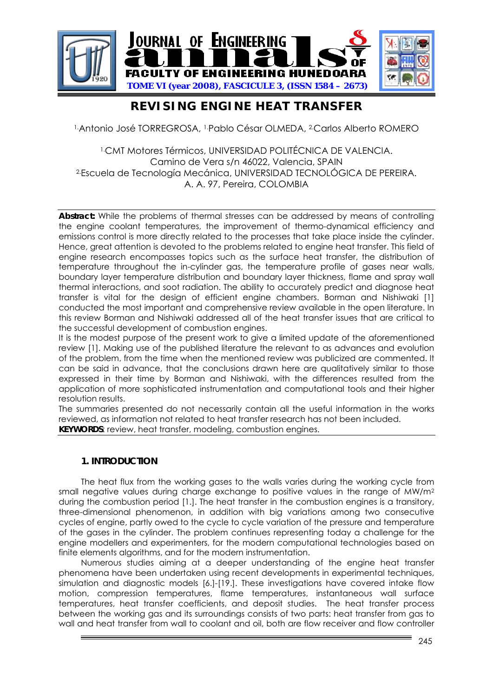

# **REVISING ENGINE HEAT TRANSFER**

1.Antonio José TORREGROSA, 1.Pablo César OLMEDA, 2.Carlos Alberto ROMERO

1.CMT Motores Térmicos, UNIVERSIDAD POLITÉCNICA DE VALENCIA. Camino de Vera s/n 46022, Valencia, SPAIN 2.Escuela de Tecnología Mecánica, UNIVERSIDAD TECNOLÓGICA DE PEREIRA. A. A. 97, Pereira, COLOMBIA

**Abstract:** While the problems of thermal stresses can be addressed by means of controlling the engine coolant temperatures, the improvement of thermo-dynamical efficiency and emissions control is more directly related to the processes that take place inside the cylinder. Hence, great attention is devoted to the problems related to engine heat transfer. This field of engine research encompasses topics such as the surface heat transfer, the distribution of temperature throughout the in-cylinder gas, the temperature profile of gases near walls, boundary layer temperature distribution and boundary layer thickness, flame and spray wall thermal interactions, and soot radiation. The ability to accurately predict and diagnose heat transfer is vital for the design of efficient engine chambers. Borman and Nishiwaki [1] conducted the most important and comprehensive review available in the open literature. In this review Borman and Nishiwaki addressed all of the heat transfer issues that are critical to the successful development of combustion engines.

It is the modest purpose of the present work to give a limited update of the aforementioned review [1]. Making use of the published literature the relevant to as advances and evolution of the problem, from the time when the mentioned review was publicized are commented. It can be said in advance, that the conclusions drawn here are qualitatively similar to those expressed in their time by Borman and Nishiwaki, with the differences resulted from the application of more sophisticated instrumentation and computational tools and their higher resolution results.

The summaries presented do not necessarily contain all the useful information in the works reviewed, as information not related to heat transfer research has not been included. **KEYWORDS**: review, heat transfer, modeling, combustion engines.

### **1. INTRODUCTION**

The heat flux from the working gases to the walls varies during the working cycle from small negative values during charge exchange to positive values in the range of  $MW/m<sup>2</sup>$ during the combustion period [\[1.\]](#page-17-0). The heat transfer in the combustion engines is a transitory, three-dimensional phenomenon, in addition with big variations among two consecutive cycles of engine, partly owed to the cycle to cycle variation of the pressure and temperature of the gases in the cylinder. The problem continues representing today a challenge for the engine modellers and experimenters, for the modern computational technologies based on finite elements algorithms, and for the modern instrumentation.

Numerous studies aiming at a deeper understanding of the engine heat transfer phenomena have been undertaken using recent developments in experimental techniques, simulation and diagnostic models [\[6.\]-](#page-17-1)[\[19.\].](#page-18-0) These investigations have covered intake flow motion, compression temperatures, flame temperatures, instantaneous wall surface temperatures, heat transfer coefficients, and deposit studies. The heat transfer process between the working gas and its surroundings consists of two parts: heat transfer from gas to wall and heat transfer from wall to coolant and oil, both are flow receiver and flow controller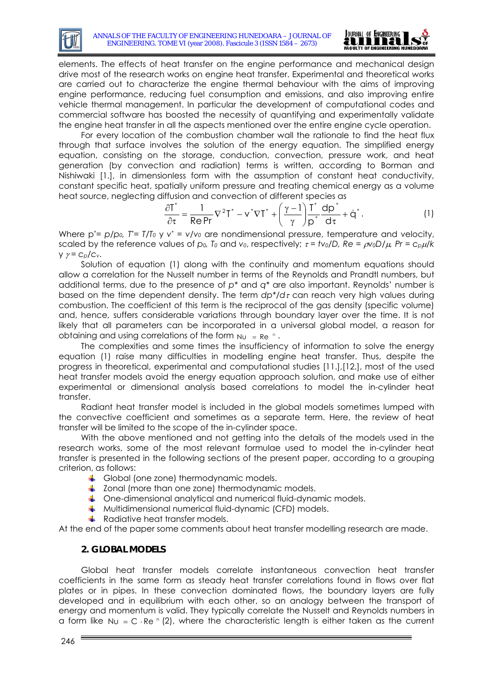

elements. The effects of heat transfer on the engine performance and mechanical design drive most of the research works on engine heat transfer. Experimental and theoretical works are carried out to characterize the engine thermal behaviour with the aims of improving engine performance, reducing fuel consumption and emissions, and also improving entire vehicle thermal management. In particular the development of computational codes and commercial software has boosted the necessity of quantifying and experimentally validate the engine heat transfer in all the aspects mentioned over the entire engine cycle operation.

For every location of the combustion chamber wall the rationale to find the heat flux through that surface involves the solution of the energy equation. The simplified energy equation, consisting on the storage, conduction, convection, pressure work, and heat generation (by convection and radiation) terms is written, according to Borman and Nishiwaki [\[1.\],](#page-17-0) in dimensionless form with the assumption of constant heat conductivity, constant specific heat, spatially uniform pressure and treating chemical energy as a volume heat source, neglecting diffusion and convection of different species as

$$
\frac{\partial T^*}{\partial \tau} = \frac{1}{\text{Re Pr}} \nabla^2 T^* - v^* \nabla T^* + \left(\frac{\gamma - 1}{\gamma}\right) \frac{T^*}{p^*} \frac{dp^*}{d\tau} + \dot{q}^* \,. \tag{1}
$$

Where  $p^*=p/p_0$ ,  $T^*=T/T_0 \vee Y^*=V/V_0$  are nondimensional pressure, temperature and velocity, scaled by the reference values of *p0, T0* and *v0*, respectively; τ *= tv0/D, Re =* ρ*v0D/*μ*, Pr = cp*μ*/k* y γ *= cp/cv*.

Solution of equation (1) along with the continuity and momentum equations should allow a correlation for the Nusselt number in terms of the Reynolds and Prandtl numbers, but additional terms, due to the presence of *p\** and *q\** are also important. Reynolds' number is based on the time dependent density. The term *dp\*/d*τ can reach very high values during combustion. The coefficient of this term is the reciprocal of the gas density (specific volume) and, hence, suffers considerable variations through boundary layer over the time. It is not likely that all parameters can be incorporated in a universal global model, a reason for obtaining and using correlations of the form  $NU = Re<sup>n</sup>$ .

The complexities and some times the insufficiency of information to solve the energy equation (1) raise many difficulties in modelling engine heat transfer. Thus, despite the progress in theoretical, experimental and computational studies [\[11.\],](#page-18-1)[\[12.\],](#page-18-2) most of the used heat transfer models avoid the energy equation approach solution, and make use of either experimental or dimensional analysis based correlations to model the in-cylinder heat transfer.

Radiant heat transfer model is included in the global models sometimes lumped with the convective coefficient and sometimes as a separate term. Here, the review of heat transfer will be limited to the scope of the in-cylinder space.

With the above mentioned and not getting into the details of the models used in the research works, some of the most relevant formulae used to model the in-cylinder heat transfer is presented in the following sections of the present paper, according to a grouping criterion, as follows:

- Global (one zone) thermodynamic models.
- $\frac{1}{2}$  Zonal (more than one zone) thermodynamic models.
- **↓** One-dimensional analytical and numerical fluid-dynamic models.
- $\uparrow$  Multidimensional numerical fluid-dynamic (CFD) models.
- $\overline{\phantom{a}}$  Radiative heat transfer models.

At the end of the paper some comments about heat transfer modelling research are made.

# **2. GLOBAL MODELS**

Global heat transfer models correlate instantaneous convection heat transfer coefficients in the same form as steady heat transfer correlations found in flows over flat plates or in pipes. In these convection dominated flows, the boundary layers are fully developed and in equilibrium with each other, so an analogy between the transport of energy and momentum is valid. They typically correlate the Nusselt and Reynolds numbers in a form like  $N_U = C \cdot Re \cdot (2)$ , where the characteristic length is either taken as the current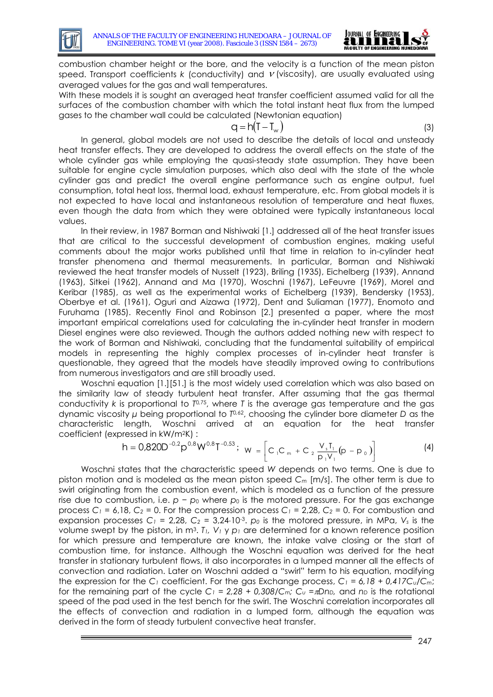

combustion chamber height or the bore, and the velocity is a function of the mean piston speed. Transport coefficients *k* (conductivity) and <sup>ν</sup> (viscosity), are usually evaluated using averaged values for the gas and wall temperatures.

With these models it is sought an averaged heat transfer coefficient assumed valid for all the surfaces of the combustion chamber with which the total instant heat flux from the lumped gases to the chamber wall could be calculated (Newtonian equation)

$$
q = h(T - T_w) \tag{3}
$$

In general, global models are not used to describe the details of local and unsteady heat transfer effects. They are developed to address the overall effects on the state of the whole cylinder gas while employing the quasi-steady state assumption. They have been suitable for engine cycle simulation purposes, which also deal with the state of the whole cylinder gas and predict the overall engine performance such as engine output, fuel consumption, total heat loss, thermal load, exhaust temperature, etc. From global models it is not expected to have local and instantaneous resolution of temperature and heat fluxes, even though the data from which they were obtained were typically instantaneous local values.

In their review, in 1987 Borman and Nishiwaki [\[1.\]](#page-17-0) addressed all of the heat transfer issues that are critical to the successful development of combustion engines, making useful comments about the major works published until that time in relation to in-cylinder heat transfer phenomena and thermal measurements. In particular, Borman and Nishiwaki reviewed the heat transfer models of Nusselt (1923), Briling (1935), Eichelberg (1939), Annand (1963), Sitkei (1962), Annand and Ma (1970), Woschni (1967), LeFeuvre (1969), Morel and Keribar (1985), as well as the experimental works of Eichelberg (1939), Bendersky (1953), Oberbye et al. (1961), Oguri and Aizawa (1972), Dent and Suliaman (1977), Enomoto and Furuhama (1985). Recently Finol and Robinson [\[2.\]](#page-17-2) presented a paper, where the most important empirical correlations used for calculating the in-cylinder heat transfer in modern Diesel engines were also reviewed. Though the authors added nothing new with respect to the work of Borman and Nishiwaki, concluding that the fundamental suitability of empirical models in representing the highly complex processes of in-cylinder heat transfer is questionable, they agreed that the models have steadily improved owing to contributions from numerous investigators and are still broadly used.

Woschni equation [\[1.\]](#page-17-0)[\[51.\]](#page-19-0) is the most widely used correlation which was also based on the similarity law of steady turbulent heat transfer. After assuming that the gas thermal conductivity *k* is proportional to *T*0*,*75, where *T* is the average gas temperature and the gas dynamic viscosity *μ* being proportional to *T*0*,*62, choosing the cylinder bore diameter *D* as the characteristic length, Woschni arrived at an equation for the heat transfer coefficient (expressed in kW/m2K) :

$$
h = 0.820D^{-0.2}p^{0.8}W^{0.8}T^{-0.53}; \ \ w = \left[C_{1}C_{m} + C_{2}\frac{V_{s}T_{1}}{p_{1}V_{1}}(p - p_{0})\right]
$$
 (4)

Woschni states that the characteristic speed *W* depends on two terms. One is due to piston motion and is modeled as the mean piston speed *Cm* [m/s]. The other term is due to swirl originating from the combustion event, which is modeled as a function of the pressure rise due to combustion, i.e. *p* − *p*<sup>0</sup> where *p*<sup>0</sup> is the motored pressure. For the gas exchange process  $C_1 = 6,18$ ,  $C_2 = 0$ . For the compression process  $C_1 = 2,28$ ,  $C_2 = 0$ . For combustion and expansion processes  $C_1 = 2.28$ ,  $C_2 = 3.24 \cdot 10^{-3}$ . *p<sub>0</sub>* is the motored pressure, in MPa,  $V_s$  is the volume swept by the piston, in m<sup>3</sup>.  $T_1$ ,  $V_1 \vee p_1$  are determined for a known reference position for which pressure and temperature are known, the intake valve closing or the start of combustion time, for instance. Although the Woschni equation was derived for the heat transfer in stationary turbulent flows, it also incorporates in a lumped manner all the effects of convection and radiation. Later on Woschni added a "swirl" term to his equation, modifying the expression for the  $C_1$  coefficient. For the gas Exchange process,  $C_1 = 6$ , 18 + 0,417 $C_0/C_m$ ; for the remaining part of the cycle  $C_1 = 2.28 + 0.308/C_m$ ;  $C_u = \pi Dn_D$ , and  $n_D$  is the rotational speed of the pad used in the test bench for the swirl. The Woschni correlation incorporates all the effects of convection and radiation in a lumped form, although the equation was derived in the form of steady turbulent convective heat transfer.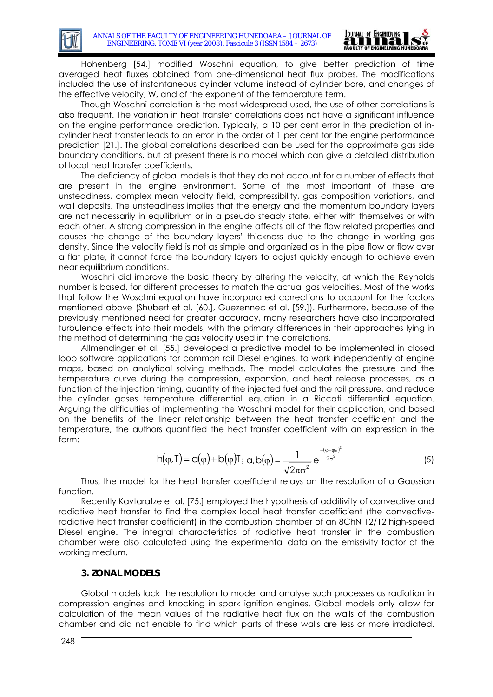

Hohenberg [\[54.\]](#page-19-1) modified Woschni equation, to give better prediction of time averaged heat fluxes obtained from one-dimensional heat flux probes. The modifications included the use of instantaneous cylinder volume instead of cylinder bore, and changes of the effective velocity, W, and of the exponent of the temperature term.

Though Woschni correlation is the most widespread used, the use of other correlations is also frequent. The variation in heat transfer correlations does not have a significant influence on the engine performance prediction. Typically, a 10 per cent error in the prediction of incylinder heat transfer leads to an error in the order of 1 per cent for the engine performance prediction [\[21.\].](#page-18-3) The global correlations described can be used for the approximate gas side boundary conditions, but at present there is no model which can give a detailed distribution of local heat transfer coefficients.

The deficiency of global models is that they do not account for a number of effects that are present in the engine environment. Some of the most important of these are unsteadiness, complex mean velocity field, compressibility, gas composition variations, and wall deposits. The unsteadiness implies that the energy and the momentum boundary layers are not necessarily in equilibrium or in a pseudo steady state, either with themselves or with each other. A strong compression in the engine affects all of the flow related properties and causes the change of the boundary layers' thickness due to the change in working gas density. Since the velocity field is not as simple and organized as in the pipe flow or flow over a flat plate, it cannot force the boundary layers to adjust quickly enough to achieve even near equilibrium conditions.

Woschni did improve the basic theory by altering the velocity, at which the Reynolds number is based, for different processes to match the actual gas velocities. Most of the works that follow the Woschni equation have incorporated corrections to account for the factors mentioned above (Shubert et al. [\[60.\]](#page-19-2), Guezennec et al. [\[59.\]\)](#page-19-3). Furthermore, because of the previously mentioned need for greater accuracy, many researchers have also incorporated turbulence effects into their models, with the primary differences in their approaches lying in the method of determining the gas velocity used in the correlations.

Allmendinger et al. [\[55.\]](#page-19-4) developed a predictive model to be implemented in closed loop software applications for common rail Diesel engines, to work independently of engine maps, based on analytical solving methods. The model calculates the pressure and the temperature curve during the compression, expansion, and heat release processes, as a function of the injection timing, quantity of the injected fuel and the rail pressure, and reduce the cylinder gases temperature differential equation in a Riccati differential equation. Arguing the difficulties of implementing the Woschni model for their application, and based on the benefits of the linear relationship between the heat transfer coefficient and the temperature, the authors quantified the heat transfer coefficient with an expression in the form:

$$
h(\varphi, T) = c(\varphi) + b(\varphi)T; \ \alpha, b(\varphi) = \frac{1}{\sqrt{2\pi\sigma^2}} e^{\frac{-(\varphi - \varphi_E)^2}{2\sigma^2}}
$$
(5)

Thus, the model for the heat transfer coefficient relays on the resolution of a Gaussian function.

Recently Kavtaratze et al. [\[75.\]](#page-20-0) employed the hypothesis of additivity of convective and radiative heat transfer to find the complex local heat transfer coefficient (the convectiveradiative heat transfer coefficient) in the combustion chamber of an 8ChN 12/12 high-speed Diesel engine. The integral characteristics of radiative heat transfer in the combustion chamber were also calculated using the experimental data on the emissivity factor of the working medium.

### **3. ZONAL MODELS**

Global models lack the resolution to model and analyse such processes as radiation in compression engines and knocking in spark ignition engines. Global models only allow for calculation of the mean values of the radiative heat flux on the walls of the combustion chamber and did not enable to find which parts of these walls are less or more irradiated.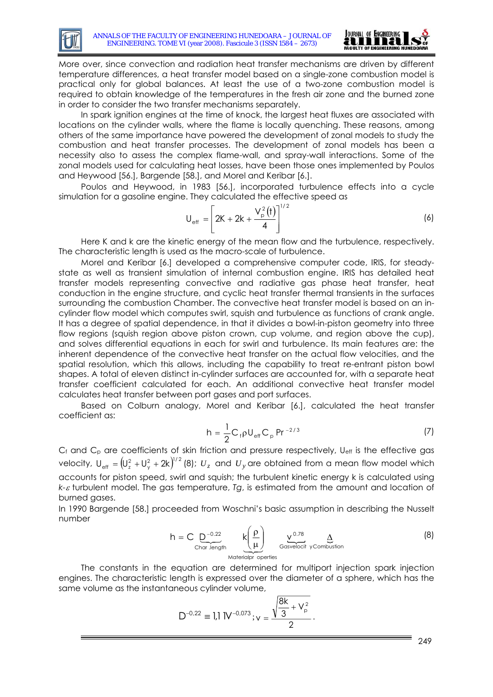

More over, since convection and radiation heat transfer mechanisms are driven by different temperature differences, a heat transfer model based on a single-zone combustion model is practical only for global balances. At least the use of a two-zone combustion model is required to obtain knowledge of the temperatures in the fresh air zone and the burned zone in order to consider the two transfer mechanisms separately.

In spark ignition engines at the time of knock, the largest heat fluxes are associated with locations on the cylinder walls, where the flame is locally quenching. These reasons, among others of the same importance have powered the development of zonal models to study the combustion and heat transfer processes. The development of zonal models has been a necessity also to assess the complex flame-wall, and spray-wall interactions. Some of the zonal models used for calculating heat losses, have been those ones implemented by Poulos and Heywood [\[56.\]](#page-19-5), Bargende [\[58.\],](#page-19-6) and Morel and Keribar [\[6.\]](#page-17-1).

Poulos and Heywood, in 1983 [\[56.\],](#page-19-5) incorporated turbulence effects into a cycle simulation for a gasoline engine. They calculated the effective speed as

$$
U_{\text{eff}} = \left[ 2K + 2k + \frac{V_{\text{p}}^2(t)}{4} \right]^{1/2} \tag{6}
$$

Here K and k are the kinetic energy of the mean flow and the turbulence, respectively. The characteristic length is used as the macro-scale of turbulence.

Morel and Keribar [\[6.\]](#page-17-1) developed a comprehensive computer code, IRIS, for steadystate as well as transient simulation of internal combustion engine. IRIS has detailed heat transfer models representing convective and radiative gas phase heat transfer, heat conduction in the engine structure, and cyclic heat transfer thermal transients in the surfaces surrounding the combustion Chamber. The convective heat transfer model is based on an incylinder flow model which computes swirl, squish and turbulence as functions of crank angle. It has a degree of spatial dependence, in that it divides a bowl-in-piston geometry into three flow regions (squish region above piston crown, cup volume, and region above the cup), and solves differential equations in each for swirl and turbulence. Its main features are: the inherent dependence of the convective heat transfer on the actual flow velocities, and the spatial resolution, which this allows, including the capability to treat re-entrant piston bowl shapes. A total of eleven distinct in-cylinder surfaces are accounted for, with a separate heat transfer coefficient calculated for each. An additional convective heat transfer model calculates heat transfer between port gases and port surfaces.

Based on Colburn analogy, Morel and Keribar [\[6.\]](#page-17-1), calculated the heat transfer coefficient as:

$$
h = \frac{1}{2} C_{f} \rho U_{eff} C_{p} Pr^{-2/3}
$$
 (7)

Cf and C<sub>p</sub> are coefficients of skin friction and pressure respectively, U<sub>eff</sub> is the effective gas velocity,  $U_{\text{eff}} = (U_z^2 + U_y^2 + 2k)^{1/2}$  (8);  $U_z$  and  $U_y$  are obtained from a mean flow model which accounts for piston speed, swirl and squish; the turbulent kinetic energy k is calculated using *k-*ε turbulent model. The gas temperature, *Tg*, is estimated from the amount and location of burned gases.

In 1990 Bargende [\[58.\]](#page-19-6) proceeded from Woschni's basic assumption in describing the Nusselt number

$$
h = C \underbrace{D^{-0.22}}_{\text{Char. length}} \underbrace{k \left(\frac{\rho}{\mu}\right)}_{\text{Materialpr} \text{ operties}} \underbrace{v^{0.78}}_{\text{Gasvelocity } \text{yCombustion}} \underbrace{\Delta}_{\text{(8)}}
$$

The constants in the equation are determined for multiport injection spark injection engines. The characteristic length is expressed over the diameter of a sphere, which has the same volume as the instantaneous cylinder volume,

$$
D^{-0.22} \equiv 1.1 \, \text{N}^{-0.073}; v = \frac{\sqrt{\frac{8k}{3} + V_p^2}}{2}.
$$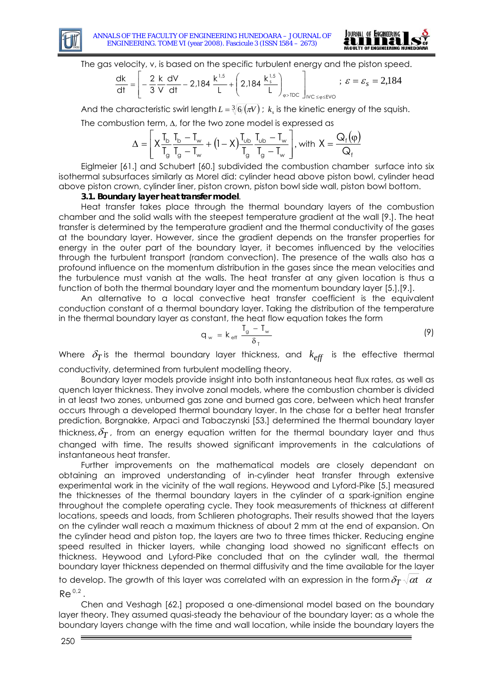



The gas velocity, v, is based on the specific turbulent energy and the piston speed.

$$
\frac{dk}{dt} = \left[ -\frac{2}{3} \frac{k}{V} \frac{dV}{dt} - 2,184 \frac{k^{1.5}}{L} + \left( 2,184 \frac{k^{1.5}}{L} \right)_{\varphi > TDC} \right]_{IVC \le \varphi \le EVO}; \ \varepsilon = \varepsilon_s = 2,184
$$

And the characteristic swirl length  $L = \sqrt[3]{6 / (\pi V)}$ ;  $k<sub>s</sub>$  is the kinetic energy of the squish. The combustion term, Δ, for the two zone model is expressed as

$$
\Delta=\!\left[X\frac{T_{\text{b}}}{T_{\text{g}}}\frac{T_{\text{b}}-T_{\text{w}}}{T_{\text{g}}-T_{\text{w}}}+\left(I-X\right)\!\frac{T_{\text{ub}}}{T_{\text{g}}}\frac{T_{\text{ub}}-T_{\text{w}}}{T_{\text{g}}-T_{\text{w}}}\right]\!,\text{with }X=\frac{Q_{\text{f}}\!\left(\varphi\right)}{Q_{\text{f}}}
$$

Eiglmeier [\[61.\]](#page-19-7) and Schubert [\[60.\]](#page-19-2) subdivided the combustion chamber surface into six isothermal subsurfaces similarly as Morel did: cylinder head above piston bowl, cylinder head above piston crown, cylinder liner, piston crown, piston bowl side wall, piston bowl bottom.

#### **3.1. Boundary layer heat transfer model**.

Heat transfer takes place through the thermal boundary layers of the combustion chamber and the solid walls with the steepest temperature gradient at the wall [\[9.\]](#page-17-3). The heat transfer is determined by the temperature gradient and the thermal conductivity of the gases at the boundary layer. However, since the gradient depends on the transfer properties for energy in the outer part of the boundary layer, it becomes influenced by the velocities through the turbulent transport (random convection). The presence of the walls also has a profound influence on the momentum distribution in the gases since the mean velocities and the turbulence must vanish at the walls. The heat transfer at any given location is thus a function of both the thermal boundary layer and the momentum boundary layer [\[5.\]](#page-17-4),[\[9.\]](#page-17-3).

An alternative to a local convective heat transfer coefficient is the equivalent conduction constant of a thermal boundary layer. Taking the distribution of the temperature in the thermal boundary layer as constant, the heat flow equation takes the form

$$
q_w = k_{\text{eff}} \frac{T_g - T_w}{\delta_T} \tag{9}
$$

Where  $\delta_T$  is the thermal boundary layer thickness, and  $k_{\it eff}$  is the effective thermal conductivity, determined from turbulent modelling theory.

Boundary layer models provide insight into both instantaneous heat flux rates, as well as quench layer thickness. They involve zonal models, where the combustion chamber is divided in at least two zones, unburned gas zone and burned gas core, between which heat transfer occurs through a developed thermal boundary layer. In the chase for a better heat transfer prediction, Borgnakke, Arpaci and Tabaczynski [\[53.\]](#page-19-8) determined the thermal boundary layer thickness,  $\delta_T$ , from an energy equation written for the thermal boundary layer and thus changed with time. The results showed significant improvements in the calculations of instantaneous heat transfer.

Further improvements on the mathematical models are closely dependant on obtaining an improved understanding of in-cylinder heat transfer through extensive experimental work in the vicinity of the wall regions. Heywood and Lyford-Pike [\[5.\]](#page-17-4) measured the thicknesses of the thermal boundary layers in the cylinder of a spark-ignition engine throughout the complete operating cycle. They took measurements of thickness at different locations, speeds and loads, from Schlieren photographs. Their results showed that the layers on the cylinder wall reach a maximum thickness of about 2 mm at the end of expansion. On the cylinder head and piston top, the layers are two to three times thicker. Reducing engine speed resulted in thicker layers, while changing load showed no significant effects on thickness. Heywood and Lyford-Pike concluded that on the cylinder wall, the thermal boundary layer thickness depended on thermal diffusivity and the time available for the layer

to develop. The growth of this layer was correlated with an expression in the form  $\delta_T\sqrt{\alpha t}\;\;\alpha$  $Re^{0.2}$ .

Chen and Veshagh [\[62.\]](#page-19-9) proposed a one-dimensional model based on the boundary layer theory. They assumed quasi-steady the behaviour of the boundary layer: as a whole the boundary layers change with the time and wall location, while inside the boundary layers the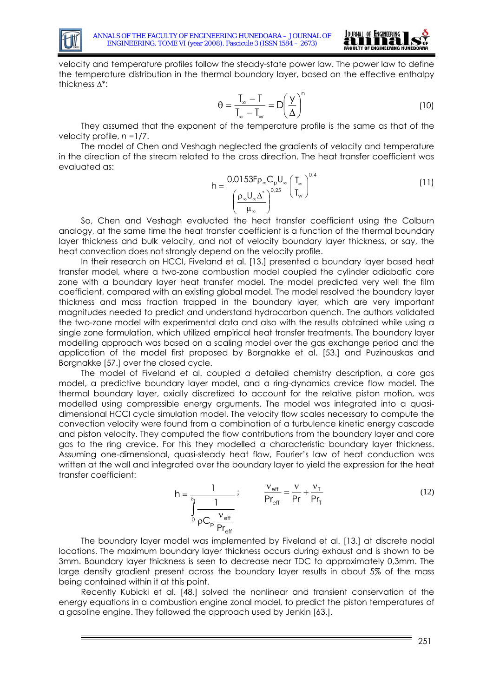



velocity and temperature profiles follow the steady-state power law. The power law to define the temperature distribution in the thermal boundary layer, based on the effective enthalpy thickness Δ\*:

$$
\theta = \frac{T_{\infty} - T}{T_{\infty} - T_{\infty}} = D \left( \frac{Y}{\Delta} \right)^{n}
$$
 (10)

They assumed that the exponent of the temperature profile is the same as that of the velocity profile, *n* =1/7.

The model of Chen and Veshagh neglected the gradients of velocity and temperature in the direction of the stream related to the cross direction. The heat transfer coefficient was evaluated as:

$$
h = \frac{0.0153 F \rho_{\infty} C_{p} U_{\infty}}{\left(\frac{\rho_{\infty} U_{\infty} \Delta^{*}}{\mu_{\infty}}\right)^{0.25}} \left(\frac{T_{\infty}}{T_{\infty}}\right)^{0.4}
$$
(11)

So, Chen and Veshagh evaluated the heat transfer coefficient using the Colburn analogy, at the same time the heat transfer coefficient is a function of the thermal boundary layer thickness and bulk velocity, and not of velocity boundary layer thickness, or say, the heat convection does not strongly depend on the velocity profile.

In their research on HCCI, Fiveland et al. [\[13.\]](#page-18-4) presented a boundary layer based heat transfer model, where a two-zone combustion model coupled the cylinder adiabatic core zone with a boundary layer heat transfer model. The model predicted very well the film coefficient, compared with an existing global model. The model resolved the boundary layer thickness and mass fraction trapped in the boundary layer, which are very important magnitudes needed to predict and understand hydrocarbon quench. The authors validated the two-zone model with experimental data and also with the results obtained while using a single zone formulation, which utilized empirical heat transfer treatments. The boundary layer modelling approach was based on a scaling model over the gas exchange period and the application of the model first proposed by Borgnakke et al. [\[53.\]](#page-19-8) and Puzinauskas and Borgnakke [\[57.\]](#page-19-10) over the closed cycle.

The model of Fiveland et al. coupled a detailed chemistry description, a core gas model, a predictive boundary layer model, and a ring-dynamics crevice flow model. The thermal boundary layer, axially discretized to account for the relative piston motion, was modelled using compressible energy arguments. The model was integrated into a quasidimensional HCCI cycle simulation model. The velocity flow scales necessary to compute the convection velocity were found from a combination of a turbulence kinetic energy cascade and piston velocity. They computed the flow contributions from the boundary layer and core gas to the ring crevice. For this they modelled a characteristic boundary layer thickness. Assuming one-dimensional, quasi-steady heat flow, Fourier's law of heat conduction was written at the wall and integrated over the boundary layer to yield the expression for the heat transfer coefficient:

$$
h = \frac{1}{\int_{0}^{\delta_{\text{t}}} \frac{1}{\rho C_{\text{p}} \frac{V_{\text{eff}}}{P_{\text{eff}}}}}; \qquad \frac{V_{\text{eff}}}{P_{\text{eff}}} = \frac{V}{P_{\text{r}}} + \frac{V_{\text{T}}}{P_{\text{T}}}
$$
(12)

The boundary layer model was implemented by Fiveland et al. [\[13.\]](#page-18-4) at discrete nodal locations. The maximum boundary layer thickness occurs during exhaust and is shown to be 3mm. Boundary layer thickness is seen to decrease near TDC to approximately 0,3mm. The large density gradient present across the boundary layer results in about 5% of the mass being contained within it at this point.

Recently Kubicki et al. [\[48.\]](#page-19-11) solved the nonlinear and transient conservation of the energy equations in a combustion engine zonal model, to predict the piston temperatures of a gasoline engine. They followed the approach used by Jenkin [\[63.\]](#page-19-12).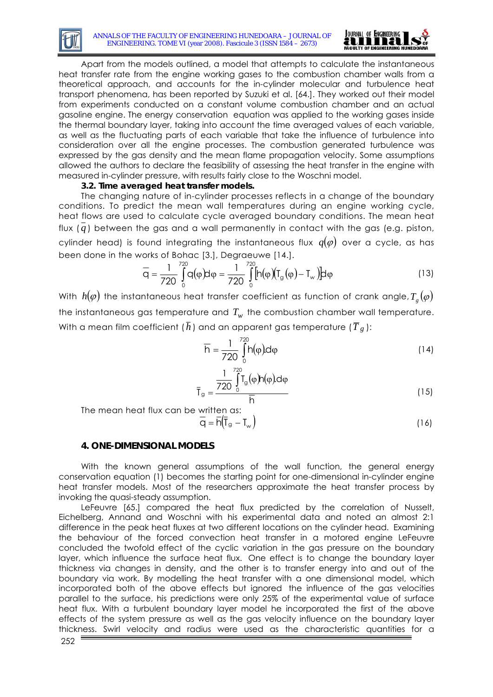



Apart from the models outlined, a model that attempts to calculate the instantaneous heat transfer rate from the engine working gases to the combustion chamber walls from a theoretical approach, and accounts for the in-cylinder molecular and turbulence heat transport phenomena, has been reported by Suzuki et al. [\[64.\]](#page-19-13). They worked out their model from experiments conducted on a constant volume combustion chamber and an actual gasoline engine. The energy conservation equation was applied to the working gases inside the thermal boundary layer, taking into account the time averaged values of each variable, as well as the fluctuating parts of each variable that take the influence of turbulence into consideration over all the engine processes. The combustion generated turbulence was expressed by the gas density and the mean flame propagation velocity. Some assumptions allowed the authors to declare the feasibility of assessing the heat transfer in the engine with measured in-cylinder pressure, with results fairly close to the Woschni model.

### **3.2. Time averaged heat transfer models.**

The changing nature of in-cylinder processes reflects in a change of the boundary conditions. To predict the mean wall temperatures during an engine working cycle, heat flows are used to calculate cycle averaged boundary conditions. The mean heat flux ( *q* ) between the gas and a wall permanently in contact with the gas (e.g. piston, cylinder head) is found integrating the instantaneous flux  $q(\varphi)$  over a cycle, as has been done in the works of Bohac [\[3.\],](#page-17-5) Degraeuwe [\[14.\].](#page-18-5)

$$
\overline{q} = \frac{1}{720} \int_{0}^{720} q(\varphi) d\varphi = \frac{1}{720} \int_{0}^{720} [h(\varphi)(T_g(\varphi) - T_w)] d\varphi
$$
 (13)

With  $h(\varphi)$  the instantaneous heat transfer coefficient as function of crank angle,  $T_g(\varphi)$ the instantaneous gas temperature and  $T_{w}$  the combustion chamber wall temperature. With a mean film coefficient ( $\bar{h}$ ) and an apparent gas temperature ( $\overline{T}_{g}$  ):

$$
\overline{h} = \frac{1}{720} \int_{0}^{720} h(\varphi) d\varphi
$$
 (14)

$$
q = \frac{\frac{1}{720} \int_{0}^{720} \Gamma_g(\varphi) h(\varphi) d\varphi}{\overline{h}}
$$
 (15)

The mean heat flux can be written as:

 $\bar{I}$ 

$$
\overline{q} = \overline{h}(\overline{T}_g - T_w)
$$
 (16)

### **4. ONE-DIMENSIONAL MODELS**

With the known general assumptions of the wall function, the general energy conservation equation (1) becomes the starting point for one-dimensional in-cylinder engine heat transfer models. Most of the researchers approximate the heat transfer process by invoking the quasi-steady assumption.

LeFeuvre [\[65.\]](#page-19-14) compared the heat flux predicted by the correlation of Nusselt, Eichelberg, Annand and Woschni with his experimental data and noted an almost 2:1 difference in the peak heat fluxes at two different locations on the cylinder head. Examining the behaviour of the forced convection heat transfer in a motored engine LeFeuvre concluded the twofold effect of the cyclic variation in the gas pressure on the boundary layer, which influence the surface heat flux. One effect is to change the boundary layer thickness via changes in density, and the other is to transfer energy into and out of the boundary via work. By modelling the heat transfer with a one dimensional model, which incorporated both of the above effects but ignored the influence of the gas velocities parallel to the surface, his predictions were only 25% of the experimental value of surface heat flux. With a turbulent boundary layer model he incorporated the first of the above effects of the system pressure as well as the gas velocity influence on the boundary layer thickness. Swirl velocity and radius were used as the characteristic quantities for a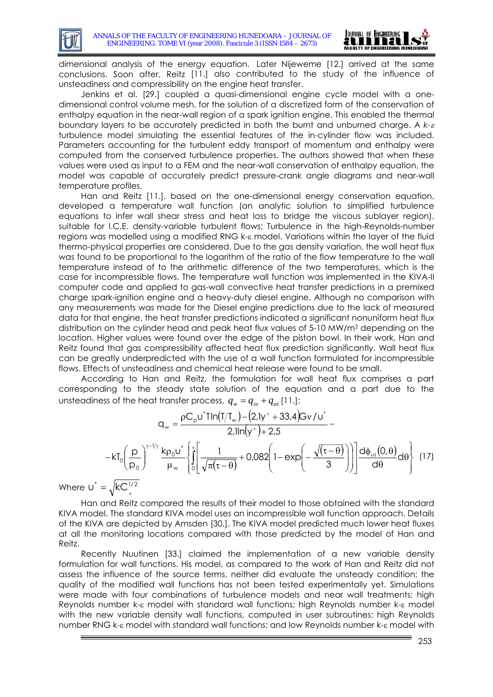

dimensional analysis of the energy equation. Later Nijeweme [\[12.\]](#page-18-2) arrived at the same conclusions. Soon after, Reitz [\[11.\]](#page-18-1) also contributed to the study of the influence of unsteadiness and compressibility on the engine heat transfer.

Jenkins et al. [\[29.\]](#page-18-6) coupled a quasi-dimensional engine cycle model with a onedimensional control volume mesh, for the solution of a discretized form of the conservation of enthalpy equation in the near-wall region of a spark ignition engine. This enabled the thermal boundary layers to be accurately predicted in both the burnt and unburned charge. A *k-*<sup>ε</sup> turbulence model simulating the essential features of the in-cylinder flow was included. Parameters accounting for the turbulent eddy transport of momentum and enthalpy were computed from the conserved turbulence properties. The authors showed that when these values were used as input to a FEM and the near-wall conservation of enthalpy equation, the model was capable of accurately predict pressure-crank angle diagrams and near-wall temperature profiles.

Han and Reitz [\[11.\],](#page-18-1) based on the one-dimensional energy conservation equation, developed a temperature wall function (an analytic solution to simplified turbulence equations to infer wall shear stress and heat loss to bridge the viscous sublayer region), suitable for I.C.E. density-variable turbulent flows; Turbulence in the high-Reynolds-number regions was modelled using a modified RNG k-ε model. Variations within the layer of the fluid thermo-physical properties are considered. Due to the gas density variation, the wall heat flux was found to be proportional to the logarithm of the ratio of the flow temperature to the wall temperature instead of to the arithmetic difference of the two temperatures, which is the case for incompressible flows. The temperature wall function was implemented in the KIVA-II computer code and applied to gas-wall convective heat transfer predictions in a premixed charge spark-ignition engine and a heavy-duty diesel engine. Although no comparison with any measurements was made for the Diesel engine predictions due to the lack of measured data for that engine, the heat transfer predictions indicated a significant nonuniform heat flux distribution on the cylinder head and peak heat flux values of 5-10 MW/m2 depending on the location. Higher values were found over the edge of the piston bowl. In their work, Han and Reitz found that gas compressibility affected heat flux prediction significantly. Wall heat flux can be greatly underpredicted with the use of a wall function formulated for incompressible flows. Effects of unsteadiness and chemical heat release were found to be small.

According to Han and Reitz, the formulation for wall heat flux comprises a part corresponding to the steady state solution of the equation and a part due to the unsteadiness of the heat transfer process,  $q_w = q_{ss} + q_{us}$  [\[11.\]:](#page-18-1)

$$
q_{w} = \frac{\rho C_{p} u^{*} \text{I} \ln(T/T_{w}) - (2,1y^{+} + 33,4)Gv/u^{*}}{2,1 \ln(y^{+}) + 2,5} - kT_{0} \left(\frac{p}{p_{0}}\right)^{\gamma - 1/\gamma} \frac{k \rho_{0} u^{*}}{\mu_{w}} \left\{\int_{0}^{\tau} \left[\frac{1}{\sqrt{\pi(\tau - \theta)}} + 0.082\left(1 - \exp\left(-\frac{\sqrt{(\tau - \theta)}}{3}\right)\right)\right] \frac{d \phi_{us}(0,\theta)}{d\theta} d\theta\right\} (17) - \frac{kC_{0} u^{2}}{kT_{0}^{2}} \right\}
$$

Where  $\overline{U}^*$ 

Han and Reitz compared the results of their model to those obtained with the standard KIVA model. The standard KIVA model uses an incompressible wall function approach. Details of the KIVA are depicted by Amsden [\[30.\]](#page-18-7). The KIVA model predicted much lower heat fluxes at all the monitoring locations compared with those predicted by the model of Han and Reitz.

Recently Nuutinen [\[33.\]](#page-18-8) claimed the implementation of a new variable density formulation for wall functions. His model, as compared to the work of Han and Reitz did not assess the influence of the source terms, neither did evaluate the unsteady condition; the quality of the modified wall functions has not been tested experimentally yet. Simulations were made with four combinations of turbulence models and near wall treatments: high Reynolds number k-ε model with standard wall functions; high Reynolds number k-ε model with the new variable density wall functions, computed in user subroutines; high Reynolds number RNG k-ε model with standard wall functions; and low Reynolds number k-ε model with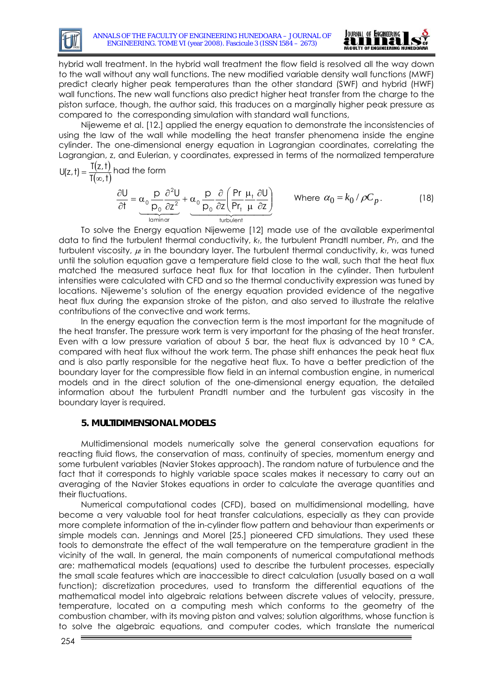



hybrid wall treatment. In the hybrid wall treatment the flow field is resolved all the way down to the wall without any wall functions. The new modified variable density wall functions (MWF) predict clearly higher peak temperatures than the other standard (SWF) and hybrid (HWF) wall functions. The new wall functions also predict higher heat transfer from the charge to the piston surface, though, the author said, this traduces on a marginally higher peak pressure as compared to the corresponding simulation with standard wall functions,

Nijeweme et al. [\[12.\]](#page-18-2) applied the energy equation to demonstrate the inconsistencies of using the law of the wall while modelling the heat transfer phenomena inside the engine cylinder. The one-dimensional energy equation in Lagrangian coordinates, correlating the Lagrangian, z, and Eulerian, y coordinates, expressed in terms of the normalized temperature  $\mathcal{L}(\mathbf{I})$ 

$$
U(z, t) = \frac{T(z, t)}{T(\infty, t)} \text{ had the form}
$$

$$
\frac{\partial U}{\partial t} = \underbrace{\alpha_0 \frac{p}{p_0} \frac{\partial^2 U}{\partial z^2}}_{\text{laminar}} + \underbrace{\alpha_0 \frac{p}{p_0} \frac{\partial}{\partial z} \left( \frac{Pr}{Pr_t} \frac{\mu_t}{\mu} \frac{\partial U}{\partial z} \right)}_{\text{turbulent}} \qquad \text{Where } \alpha_0 = k_0 / \rho C_p. \qquad (18)
$$

To solve the Energy equation Nijeweme [12] made use of the available experimental data to find the turbulent thermal conductivity, *kt*, the turbulent Prandtl number, *Prt*, and the turbulent viscosity, μ*<sup>t</sup>* in the boundary layer. The turbulent thermal conductivity, *kt*, was tuned until the solution equation gave a temperature field close to the wall, such that the heat flux matched the measured surface heat flux for that location in the cylinder. Then turbulent intensities were calculated with CFD and so the thermal conductivity expression was tuned by locations. Nijeweme's solution of the energy equation provided evidence of the negative heat flux during the expansion stroke of the piston, and also served to illustrate the relative contributions of the convective and work terms.

In the energy equation the convection term is the most important for the magnitude of the heat transfer. The pressure work term is very important for the phasing of the heat transfer. Even with a low pressure variation of about 5 bar, the heat flux is advanced by 10 ° CA, compared with heat flux without the work term. The phase shift enhances the peak heat flux and is also partly responsible for the negative heat flux. To have a better prediction of the boundary layer for the compressible flow field in an internal combustion engine, in numerical models and in the direct solution of the one-dimensional energy equation, the detailed information about the turbulent Prandtl number and the turbulent gas viscosity in the boundary layer is required.

# **5. MULTIDIMENSIONAL MODELS**

Multidimensional models numerically solve the general conservation equations for reacting fluid flows, the conservation of mass, continuity of species, momentum energy and some turbulent variables (Navier Stokes approach). The random nature of turbulence and the fact that it corresponds to highly variable space scales makes it necessary to carry out an averaging of the Navier Stokes equations in order to calculate the average quantities and their fluctuations.

Numerical computational codes (CFD), based on multidimensional modelling, have become a very valuable tool for heat transfer calculations, especially as they can provide more complete information of the in-cylinder flow pattern and behaviour than experiments or simple models can. Jennings and Morel [\[25.\]](#page-18-9) pioneered CFD simulations. They used these tools to demonstrate the effect of the wall temperature on the temperature gradient in the vicinity of the wall. In general, the main components of numerical computational methods are: mathematical models (equations) used to describe the turbulent processes, especially the small scale features which are inaccessible to direct calculation (usually based on a wall function); discretization procedures, used to transform the differential equations of the mathematical model into algebraic relations between discrete values of velocity, pressure, temperature, located on a computing mesh which conforms to the geometry of the combustion chamber, with its moving piston and valves; solution algorithms, whose function is to solve the algebraic equations, and computer codes, which translate the numerical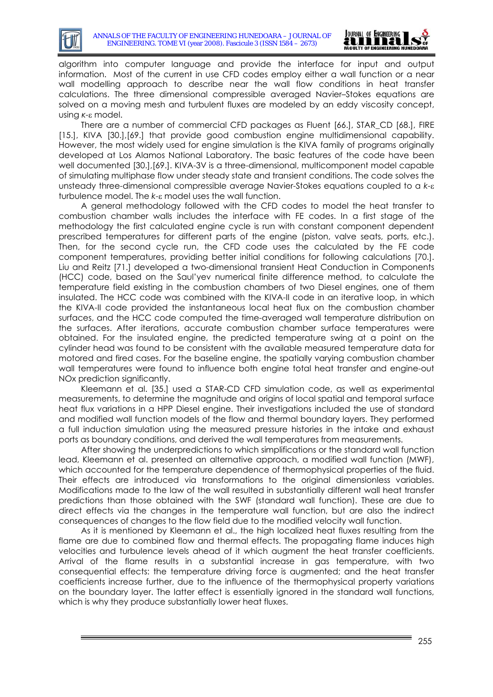

algorithm into computer language and provide the interface for input and output information. Most of the current in use CFD codes employ either a wall function or a near wall modelling approach to describe near the wall flow conditions in heat transfer calculations. The three dimensional compressible averaged Navier–Stokes equations are solved on a moving mesh and turbulent fluxes are modeled by an eddy viscosity concept, using *κ*-ε model.

There are a number of commercial CFD packages as Fluent [\[66.\]](#page-19-15), STAR\_CD [\[68.\]](#page-20-1), FIRE [\[15.\],](#page-18-10) KIVA [\[30.\]](#page-18-7)[,\[69.\]](#page-20-2) that provide good combustion engine multidimensional capability. However, the most widely used for engine simulation is the KIVA family of programs originally developed at Los Alamos National Laboratory. The basic features of the code have been well documented [\[30.\]](#page-18-7)[,\[69.\]](#page-20-2). KIVA-3V is a three-dimensional, multicomponent model capable of simulating multiphase flow under steady state and transient conditions. The code solves the unsteady three-dimensional compressible average Navier-Stokes equations coupled to a *k*-ε turbulence model. The *k*-ε model uses the wall function.

A general methodology followed with the CFD codes to model the heat transfer to combustion chamber walls includes the interface with FE codes. In a first stage of the methodology the first calculated engine cycle is run with constant component dependent prescribed temperatures for different parts of the engine (piston, valve seats, ports, etc.). Then, for the second cycle run, the CFD code uses the calculated by the FE code component temperatures, providing better initial conditions for following calculations [\[70.\].](#page-20-3) Liu and Reitz [\[71.\]](#page-20-4) developed a two-dimensional transient Heat Conduction in Components (HCC) code, based on the Saul'yev numerical finite difference method, to calculate the temperature field existing in the combustion chambers of two Diesel engines, one of them insulated. The HCC code was combined with the KIVA-II code in an iterative loop, in which the KIVA-II code provided the instantaneous local heat flux on the combustion chamber surfaces, and the HCC code computed the time-averaged wall temperature distribution on the surfaces. After iterations, accurate combustion chamber surface temperatures were obtained. For the insulated engine, the predicted temperature swing at a point on the cylinder head was found to be consistent with the available measured temperature data for motored and fired cases. For the baseline engine, the spatially varying combustion chamber wall temperatures were found to influence both engine total heat transfer and engine-out NOx prediction significantly.

Kleemann et al. [\[35.\]](#page-18-11) used a STAR-CD CFD simulation code, as well as experimental measurements, to determine the magnitude and origins of local spatial and temporal surface heat flux variations in a HPP Diesel engine. Their investigations included the use of standard and modified wall function models of the flow and thermal boundary layers. They performed a full induction simulation using the measured pressure histories in the intake and exhaust ports as boundary conditions, and derived the wall temperatures from measurements.

After showing the underpredictions to which simplifications or the standard wall function lead, Kleemann et al. presented an alternative approach, a modified wall function (MWF), which accounted for the temperature dependence of thermophysical properties of the fluid. Their effects are introduced via transformations to the original dimensionless variables. Modifications made to the law of the wall resulted in substantially different wall heat transfer predictions than those obtained with the SWF (standard wall function). These are due to direct effects via the changes in the temperature wall function, but are also the indirect consequences of changes to the flow field due to the modified velocity wall function.

As it is mentioned by Kleemann et al., the high localized heat fluxes resulting from the flame are due to combined flow and thermal effects. The propagating flame induces high velocities and turbulence levels ahead of it which augment the heat transfer coefficients. Arrival of the flame results in a substantial increase in gas temperature, with two consequential effects: the temperature driving force is augmented; and the heat transfer coefficients increase further, due to the influence of the thermophysical property variations on the boundary layer. The latter effect is essentially ignored in the standard wall functions, which is why they produce substantially lower heat fluxes.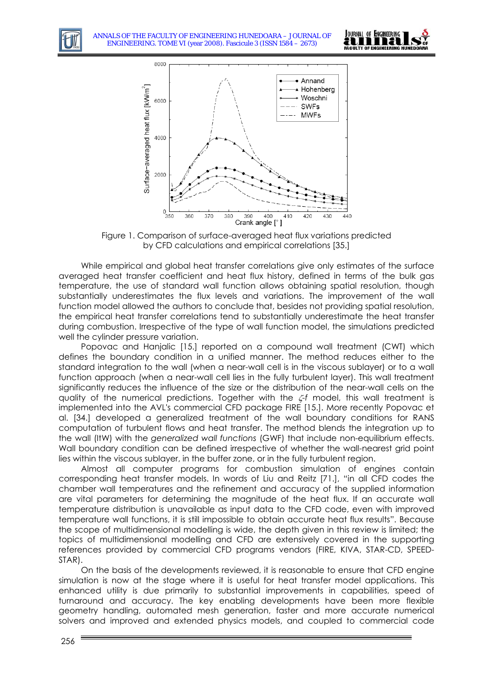



Figure 1. Comparison of surface-averaged heat flux variations predicted by CFD calculations and empirical correlations [\[35.\]](#page-18-11)

While empirical and global heat transfer correlations give only estimates of the surface averaged heat transfer coefficient and heat flux history, defined in terms of the bulk gas temperature, the use of standard wall function allows obtaining spatial resolution, though substantially underestimates the flux levels and variations. The improvement of the wall function model allowed the authors to conclude that, besides not providing spatial resolution, the empirical heat transfer correlations tend to substantially underestimate the heat transfer during combustion. Irrespective of the type of wall function model, the simulations predicted well the cylinder pressure variation.

Popovac and Hanjalic [\[15.\]](#page-18-10) reported on a compound wall treatment (CWT) which defines the boundary condition in a unified manner. The method reduces either to the standard integration to the wall (when a near-wall cell is in the viscous sublayer) or to a wall function approach (when a near-wall cell lies in the fully turbulent layer). This wall treatment significantly reduces the influence of the size or the distribution of the near-wall cells on the quality of the numerical predictions. Together with the ζ*-f* model, this wall treatment is implemented into the AVL's commercial CFD package FIRE [\[15.\]](#page-18-10). More recently Popovac et al. [\[34.\]](#page-18-12) developed a generalized treatment of the wall boundary conditions for RANS computation of turbulent flows and heat transfer. The method blends the integration up to the wall (ItW) with the *generalized wall functions* (GWF) that include non-equilibrium effects. Wall boundary condition can be defined irrespective of whether the wall-nearest grid point lies within the viscous sublayer, in the buffer zone, or in the fully turbulent region.

Almost all computer programs for combustion simulation of engines contain corresponding heat transfer models. In words of Liu and Reitz [\[71.\],](#page-20-4) "in all CFD codes the chamber wall temperatures and the refinement and accuracy of the supplied information are vital parameters for determining the magnitude of the heat flux. If an accurate wall temperature distribution is unavailable as input data to the CFD code, even with improved temperature wall functions, it is still impossible to obtain accurate heat flux results". Because the scope of multidimensional modelling is wide, the depth given in this review is limited; the topics of multidimensional modelling and CFD are extensively covered in the supporting references provided by commercial CFD programs vendors (FIRE, KIVA, STAR-CD, SPEED-STAR).

On the basis of the developments reviewed, it is reasonable to ensure that CFD engine simulation is now at the stage where it is useful for heat transfer model applications. This enhanced utility is due primarily to substantial improvements in capabilities, speed of turnaround and accuracy. The key enabling developments have been more flexible geometry handling, automated mesh generation, faster and more accurate numerical solvers and improved and extended physics models, and coupled to commercial code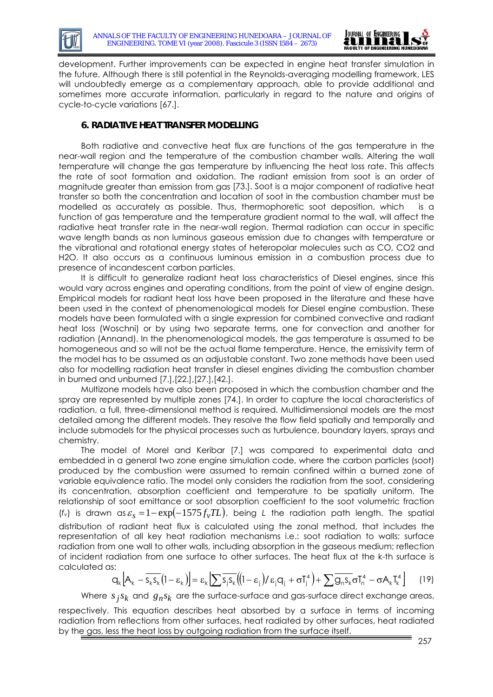



development. Further improvements can be expected in engine heat transfer simulation in the future. Although there is still potential in the Reynolds-averaging modelling framework, LES will undoubtedly emerge as a complementary approach, able to provide additional and sometimes more accurate information, particularly in regard to the nature and origins of cycle-to-cycle variations [\[67.\].](#page-19-16)

## **6. RADIATIVE HEAT TRANSFER MODELLING**

Both radiative and convective heat flux are functions of the gas temperature in the near-wall region and the temperature of the combustion chamber walls. Altering the wall temperature will change the gas temperature by influencing the heat loss rate. This affects the rate of soot formation and oxidation. The radiant emission from soot is an order of magnitude greater than emission from gas [\[73.\]](#page-20-5). Soot is a major component of radiative heat transfer so both the concentration and location of soot in the combustion chamber must be modelled as accurately as possible. Thus, thermophoretic soot deposition, which is a function of gas temperature and the temperature gradient normal to the wall, will affect the radiative heat transfer rate in the near-wall region. Thermal radiation can occur in specific wave length bands as non luminous gaseous emission due to changes with temperature or the vibrational and rotational energy states of heteropolar molecules such as CO, CO2 and H2O. It also occurs as a continuous luminous emission in a combustion process due to presence of incandescent carbon particles.

It is difficult to generalize radiant heat loss characteristics of Diesel engines, since this would vary across engines and operating conditions, from the point of view of engine design. Empirical models for radiant heat loss have been proposed in the literature and these have been used in the context of phenomenological models for Diesel engine combustion. These models have been formulated with a single expression for combined convective and radiant heat loss (Woschni) or by using two separate terms, one for convection and another for radiation (Annand). In the phenomenological models, the gas temperature is assumed to be homogeneous and so will not be the actual flame temperature. Hence, the emissivity term of the model has to be assumed as an adjustable constant. Two zone methods have been used also for modelling radiation heat transfer in diesel engines dividing the combustion chamber in burned and unburned [\[7.\]](#page-17-6),[\[22.\]](#page-18-13)[,\[27.\]](#page-18-14)[,\[42.\]](#page-19-17).

Multizone models have also been proposed in which the combustion chamber and the spray are represented by multiple zones [\[74.\]](#page-20-6). In order to capture the local characteristics of radiation, a full, three-dimensional method is required. Multidimensional models are the most detailed among the different models. They resolve the flow field spatially and temporally and include submodels for the physical processes such as turbulence, boundary layers, sprays and chemistry.

The model of Morel and Keribar [\[7.\]](#page-17-6) was compared to experimental data and embedded in a general two zone engine simulation code, where the carbon particles (soot) produced by the combustion were assumed to remain confined within a burned zone of variable equivalence ratio. The model only considers the radiation from the soot, considering its concentration, absorption coefficient and temperature to be spatially uniform. The relationship of soot emittance or soot absorption coefficient to the soot volumetric fraction  $(f_v)$  is drawn as  $\varepsilon_s = 1 - \exp(-1575 f_v T L)$ , being *L* the radiation path length. The spatial distribution of radiant heat flux is calculated using the zonal method, that includes the representation of all key heat radiation mechanisms i.e.: soot radiation to walls; surface radiation from one wall to other walls, including absorption in the gaseous medium; reflection of incident radiation from one surface to other surfaces. The heat flux at the k-th surface is calculated as:

$$
q_k \left[ A_k - \overline{S_k S_k} (1 - \epsilon_k) \right] = \epsilon_k \left[ \sum \overline{S_j S_k} \left( (1 - \epsilon_j) / \epsilon_j q_j + \sigma T_j^4 \right) + \sum \overline{Q_n S_k} \sigma T_n^4 - \sigma A_k T_k^4 \right] \tag{19}
$$

Where  $s_j s_k$  and  $g_n s_k$  are the surface-surface and gas-surface direct exchange areas,

respectively. This equation describes heat absorbed by a surface in terms of incoming radiation from reflections from other surfaces, heat radiated by other surfaces, heat radiated by the gas, less the heat loss by outgoing radiation from the surface itself.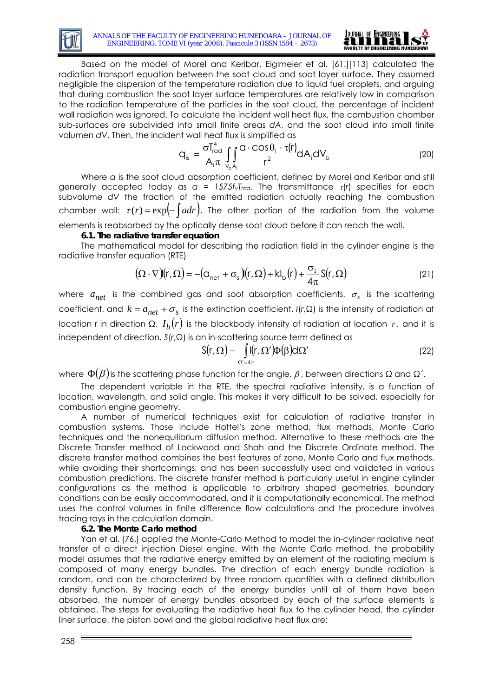



Based on the model of Morel and Keribar, Eiglmeier et al. [\[61.\]\[](#page-19-7)113] calculated the radiation transport equation between the soot cloud and soot layer surface. They assumed negligible the dispersion of the temperature radiation due to liquid fuel droplets, and arguing that during combustion the soot layer surface temperatures are relatively low in comparison to the radiation temperature of the particles in the soot cloud, the percentage of incident wall radiation was ignored. To calculate the incident wall heat flux, the combustion chamber sub-surfaces are subdivided into small finite areas *dA*, and the soot cloud into small finite volumen *dV*. Then, the incident wall heat flux is simplified as

$$
q_{is} = \frac{\sigma T_{\text{rod}}^4}{A_i \pi} \iint_{V_b A_i} \frac{Q \cdot \cos \theta_i \cdot \tau(r)}{r^2} dA_i dV_b
$$
 (20)

Where *a* is the soot cloud absorption coefficient, defined by Morel and Keribar and still generally accepted today as  $a = 1575f_vT_{rad}$ . The transmittance  $\tau(r)$  specifies for each subvolume *dV* the fraction of the emitted radiation actually reaching the combustion chamber wall:  $\tau(r) = \exp(-\int a dr)$ . The other portion of the radiation from the volume elements is reabsorbed by the optically dense soot cloud before it can reach the wall.

### **6.1. The radiative transfer equation**

The mathematical model for describing the radiation field in the cylinder engine is the radiative transfer equation (RTE)

$$
(\Omega \cdot \nabla)(r, \Omega) = -(\Omega_{\text{net}} + \sigma_s)(r, \Omega) + kI_{\text{b}}(r) + \frac{\sigma_s}{4\pi} S(r, \Omega)
$$
\n(21)

where  $a_{net}$  is the combined gas and soot absorption coefficients,  $\sigma_s$  is the scattering coefficient, and  $k = a_{net} + \sigma_s$  is the extinction coefficient. *I*(*r*, $\Omega$ ) is the intensity of radiation at location r in direction Ω.  $I<sub>b</sub>(r)$  is the blackbody intensity of radiation at location *r*, and it is independent of direction. *S*(*r*,Ω) is an in-scattering source term defined as

$$
S(r,\Omega) = \int_{\Omega'=4\pi} I(r,\Omega')D(\beta)d\Omega'
$$
 (22)

where  $\Phi(\beta)$  is the scattering phase function for the angle,  $\beta$ , between directions  $\Omega$  and  $\Omega'$ .

The dependent variable in the RTE, the spectral radiative intensity, is a function of location, wavelength, and solid angle. This makes it very difficult to be solved, especially for combustion engine geometry.

A number of numerical techniques exist for calculation of radiative transfer in combustion systems. Those include Hottel's zone method, flux methods, Monte Carlo techniques and the nonequilibrium diffusion method. Alternative to these methods are the Discrete Transfer method of Lockwood and Shah and the Discrete Ordinate method. The discrete transfer method combines the best features of zone, Monte Carlo and flux methods, while avoiding their shortcomings, and has been successfully used and validated in various combustion predictions. The discrete transfer method is particularly useful in engine cylinder configurations as the method is applicable to arbitrary shaped geometries, boundary conditions can be easily accommodated, and it is computationally economical. The method uses the control volumes in finite difference flow calculations and the procedure involves tracing rays in the calculation domain.

### **6.2. The Monte Carlo method**

Yan et al. [\[76.\]](#page-20-7) applied the Monte-Carlo Method to model the in-cylinder radiative heat transfer of a direct injection Diesel engine. With the Monte Carlo method, the probability model assumes that the radiative energy emitted by an element of the radiating medium is composed of many energy bundles. The direction of each energy bundle radiation is random, and can be characterized by three random quantities with a defined distribution density function. By tracing each of the energy bundles until all of them have been absorbed, the number of energy bundles absorbed by each of the surface elements is obtained. The steps for evaluating the radiative heat flux to the cylinder head, the cylinder liner surface, the piston bowl and the global radiative heat flux are: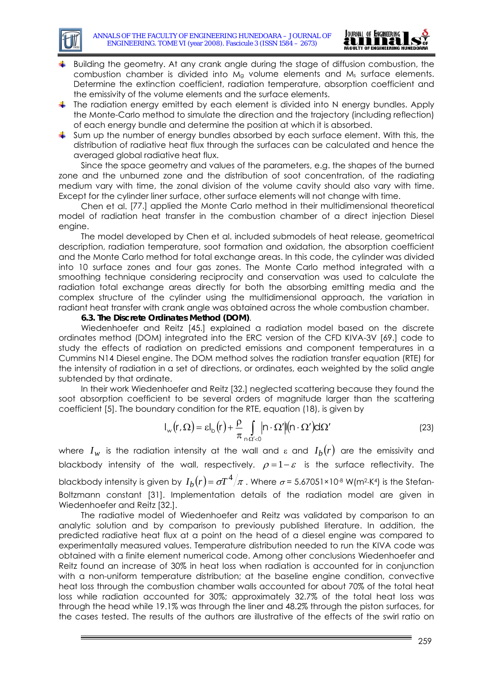

- Building the geometry. At any crank angle during the stage of diffusion combustion, the combustion chamber is divided into  $M<sub>g</sub>$  volume elements and  $M<sub>s</sub>$  surface elements. Determine the extinction coefficient, radiation temperature, absorption coefficient and the emissivity of the volume elements and the surface elements.
- $\ddot{\phantom{1}}$  The radiation energy emitted by each element is divided into N energy bundles. Apply the Monte-Carlo method to simulate the direction and the trajectory (including reflection) of each energy bundle and determine the position at which it is absorbed.
- $\ddot{\bullet}$  Sum up the number of energy bundles absorbed by each surface element. With this, the distribution of radiative heat flux through the surfaces can be calculated and hence the averaged global radiative heat flux.

Since the space geometry and values of the parameters, e.g. the shapes of the burned zone and the unburned zone and the distribution of soot concentration, of the radiating medium vary with time, the zonal division of the volume cavity should also vary with time. Except for the cylinder liner surface, other surface elements will not change with time.

Chen et al. [\[77.\]](#page-20-8) applied the Monte Carlo method in their multidimensional theoretical model of radiation heat transfer in the combustion chamber of a direct injection Diesel engine.

The model developed by Chen et al. included submodels of heat release, geometrical description, radiation temperature, soot formation and oxidation, the absorption coefficient and the Monte Carlo method for total exchange areas. In this code, the cylinder was divided into 10 surface zones and four gas zones. The Monte Carlo method integrated with a smoothing technique considering reciprocity and conservation was used to calculate the radiation total exchange areas directly for both the absorbing emitting media and the complex structure of the cylinder using the multidimensional approach, the variation in radiant heat transfer with crank angle was obtained across the whole combustion chamber.

### **6.3. The Discrete Ordinates Method (DOM)**.

Wiedenhoefer and Reitz [\[45.\]](#page-19-18) explained a radiation model based on the discrete ordinates method (DOM) integrated into the ERC version of the CFD KIVA-3V [\[69.\]](#page-20-2) code to study the effects of radiation on predicted emissions and component temperatures in a Cummins N14 Diesel engine. The DOM method solves the radiation transfer equation (RTE) for the intensity of radiation in a set of directions, or ordinates, each weighted by the solid angle subtended by that ordinate.

In their work Wiedenhoefer and Reitz [\[32.\]](#page-18-15) neglected scattering because they found the soot absorption coefficient to be several orders of magnitude larger than the scattering coefficient [5]. The boundary condition for the RTE, equation (18), is given by

$$
I_{\rm w}(r,\Omega) = \varepsilon I_{\rm b}(r) + \frac{\rho}{\pi} \int_{\Omega' < 0} \left| \nabla \cdot \Omega' \right| \left( \left| \nabla \cdot \Omega' \right) \, d\Omega' \tag{23}
$$

where  $I_w$  is the radiation intensity at the wall and  $\epsilon$  and  $I_b(r)$  are the emissivity and blackbody intensity of the wall, respectively.  $\rho = 1 - \varepsilon$  is the surface reflectivity. The blackbody intensity is given by  $I_b(r) = \sigma T^4 / \pi$ . Where  $\sigma$  = 5.67051×10<sup>-8</sup> W(m<sup>2</sup>⋅K<sup>4</sup>) is the Stefan-Boltzmann constant [31]. Implementation details of the radiation model are given in Wiedenhoefer and Reitz [\[32.\]](#page-18-15).

The radiative model of Wiedenhoefer and Reitz was validated by comparison to an analytic solution and by comparison to previously published literature. In addition, the predicted radiative heat flux at a point on the head of a diesel engine was compared to experimentally measured values. Temperature distribution needed to run the KIVA code was obtained with a finite element numerical code. Among other conclusions Wiedenhoefer and Reitz found an increase of 30% in heat loss when radiation is accounted for in conjunction with a non-uniform temperature distribution; at the baseline engine condition, convective heat loss through the combustion chamber walls accounted for about 70% of the total heat loss while radiation accounted for 30%; approximately 32.7% of the total heat loss was through the head while 19.1% was through the liner and 48.2% through the piston surfaces, for the cases tested. The results of the authors are illustrative of the effects of the swirl ratio on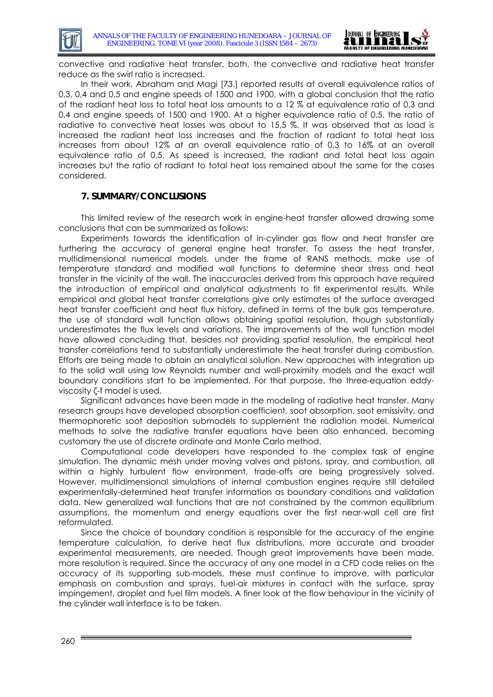

convective and radiative heat transfer, both, the convective and radiative heat transfer reduce as the swirl ratio is increased.

In their work, Abraham and Magi [\[73.\]](#page-20-5) reported results at overall equivalence ratios of 0,3, 0,4 and 0,5 and engine speeds of 1500 and 1900, with a global conclusion that the ratio of the radiant heat loss to total heat loss amounts to a 12 % at equivalence ratio of 0,3 and 0,4 and engine speeds of 1500 and 1900. At a higher equivalence ratio of 0,5, the ratio of radiative to convective heat losses was about to 15,5 %. It was observed that as load is increased the radiant heat loss increases and the fraction of radiant to total heat loss increases from about 12% at an overall equivalence ratio of 0,3 to 16% at an overall equivalence ratio of 0,5. As speed is increased, the radiant and total heat loss again increases but the ratio of radiant to total heat loss remained about the same for the cases considered.

### **7. SUMMARY/CONCLUSIONS**

This limited review of the research work in engine-heat transfer allowed drawing some conclusions that can be summarized as follows:

Experiments towards the identification of in-cylinder gas flow and heat transfer are furthering the accuracy of general engine heat transfer. To assess the heat transfer, multidimensional numerical models, under the frame of RANS methods, make use of temperature standard and modified wall functions to determine shear stress and heat transfer in the vicinity of the wall. The inaccuracies derived from this approach have required the introduction of empirical and analytical adjustments to fit experimental results. While empirical and global heat transfer correlations give only estimates of the surface averaged heat transfer coefficient and heat flux history, defined in terms of the bulk gas temperature, the use of standard wall function allows obtaining spatial resolution, though substantially underestimates the flux levels and variations. The improvements of the wall function model have allowed concluding that, besides not providing spatial resolution, the empirical heat transfer correlations tend to substantially underestimate the heat transfer during combustion. Efforts are being made to obtain an analytical solution. New approaches with integration up to the solid wall using low Reynolds number and wall-proximity models and the exact wall boundary conditions start to be implemented. For that purpose, the three-equation eddyviscosity ζ-f model is used.

Significant advances have been made in the modeling of radiative heat transfer. Many research groups have developed absorption coefficient, soot absorption, soot emissivity, and thermophoretic soot deposition submodels to supplement the radiation model. Numerical methods to solve the radiative transfer equations have been also enhanced, becoming customary the use of discrete ordinate and Monte Carlo method.

Computational code developers have responded to the complex task of engine simulation. The dynamic mesh under moving valves and pistons, spray, and combustion, all within a highly turbulent flow environment, trade-offs are being progressively solved. However, multidimensional simulations of internal combustion engines require still detailed experimentally-determined heat transfer information as boundary conditions and validation data. New generalized wall functions that are not constrained by the common equilibrium assumptions, the momentum and energy equations over the first near-wall cell are first reformulated.

Since the choice of boundary condition is responsible for the accuracy of the engine temperature calculation, to derive heat flux distributions, more accurate and broader experimental measurements, are needed. Though great improvements have been made, more resolution is required. Since the accuracy of any one model in a CFD code relies on the accuracy of its supporting sub-models, these must continue to improve, with particular emphasis on combustion and sprays, fuel-air mixtures in contact with the surface, spray impingement, droplet and fuel film models. A finer look at the flow behaviour in the vicinity of the cylinder wall interface is to be taken.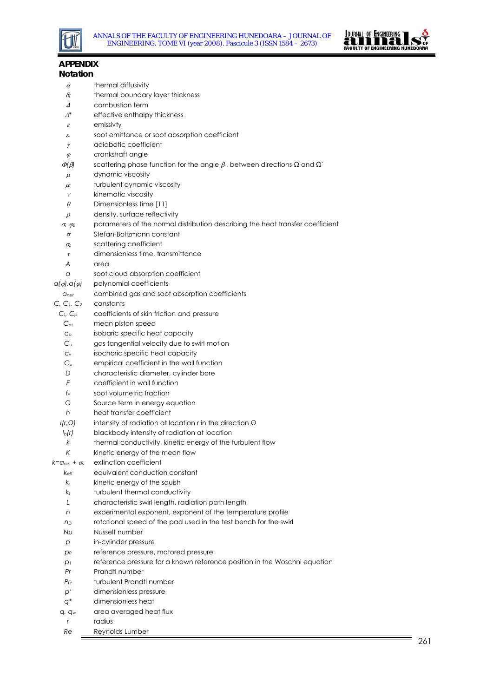



| <b>APPENDIX</b>                              |                                                                                                                  |
|----------------------------------------------|------------------------------------------------------------------------------------------------------------------|
| <b>Notation</b>                              |                                                                                                                  |
| $\alpha$                                     | thermal diffusivity                                                                                              |
| $\delta$ r                                   | thermal boundary layer thickness                                                                                 |
| Δ                                            | combustion term                                                                                                  |
| $\varDelta^*$                                | effective enthalpy thickness                                                                                     |
| ε                                            | emissivty                                                                                                        |
| $\varepsilon$ s                              | soot emittance or soot absorption coefficient                                                                    |
| γ                                            | adiabatic coefficient                                                                                            |
| $\varphi$                                    | crankshaft angle                                                                                                 |
| $\varPhi(\beta)$                             | scattering phase function for the angle $\beta$ , between directions $\Omega$ and $\Omega'$                      |
| $\mu$                                        | dynamic viscosity                                                                                                |
| $\mu$                                        | turbulent dynamic viscosity                                                                                      |
| $\mathcal V$                                 | kinematic viscosity                                                                                              |
| $\theta$                                     | Dimensionless time [11]                                                                                          |
|                                              | density, surface reflectivity                                                                                    |
| $\rho$                                       | parameters of the normal distribution describing the heat transfer coefficient                                   |
| $\sigma$ , $q$ <sub>E</sub><br>$\sigma$      | Stefan-Boltzmann constant                                                                                        |
|                                              | scattering coefficient                                                                                           |
| σς<br>$\tau$                                 | dimensionless time, transmittance                                                                                |
| A                                            | area                                                                                                             |
| a                                            | soot cloud absorption coefficient                                                                                |
| $Q(\varphi)$ , $Q(\varphi)$                  | polynomial coefficients                                                                                          |
| <b>C</b> <sub>net</sub>                      | combined gas and soot absorption coefficients                                                                    |
| C, C <sub>1</sub> , C <sub>2</sub>           | constants                                                                                                        |
| $C_t$ , $C_D$                                | coefficients of skin friction and pressure                                                                       |
| $C_m$                                        | mean piston speed                                                                                                |
|                                              |                                                                                                                  |
| $C_{\rho}$<br>$C_{U}$                        | isobaric specific heat capacity                                                                                  |
|                                              | gas tangential velocity due to swirl motion                                                                      |
| $C_{V}$                                      | isochoric specific heat capacity                                                                                 |
| $C_\mu$<br>D                                 | empirical coefficient in the wall function<br>characteristic diameter, cylinder bore                             |
| E                                            | coefficient in wall function                                                                                     |
| $f_{\vee}$                                   | soot volumetric fraction                                                                                         |
| G                                            |                                                                                                                  |
| h                                            | Source term in energy equation<br>heat transfer coefficient                                                      |
|                                              | intensity of radiation at location r in the direction $\Omega$                                                   |
| I(r, Q)                                      | blackbody intensity of radiation at location                                                                     |
| $I_b(r)$                                     |                                                                                                                  |
| k<br>К                                       | thermal conductivity, kinetic energy of the turbulent flow<br>kinetic energy of the mean flow                    |
| $k$ = $\alpha$ <sub>net</sub> + $\sigma_{s}$ | extinction coefficient                                                                                           |
|                                              | equivalent conduction constant                                                                                   |
| $k_{\text{eff}}$                             |                                                                                                                  |
| $k_{s}$                                      | kinetic energy of the squish                                                                                     |
| $k_{t}$<br>L                                 | turbulent thermal conductivity                                                                                   |
|                                              | characteristic swirl length, radiation path length<br>experimental exponent, exponent of the temperature profile |
| n                                            |                                                                                                                  |
| n <sub>D</sub>                               | rotational speed of the pad used in the test bench for the swirl<br>Nusselt number                               |
| Nυ                                           |                                                                                                                  |
| р                                            | in-cylinder pressure                                                                                             |
| $p_0$                                        | reference pressure, motored pressure                                                                             |
| $p_1$                                        | reference pressure for a known reference position in the Woschni equation                                        |
| Pr                                           | Prandtl number                                                                                                   |
| $Pr_t$                                       | turbulent Prandtl number                                                                                         |
| $p^*$                                        | dimensionless pressure                                                                                           |
| $q^*$                                        | dimensionless heat                                                                                               |
| $q$ , $q_w$                                  | area averaged heat flux                                                                                          |
| r                                            | radius                                                                                                           |

*Re* Reynolds Lumber

\_\_\_\_\_\_\_\_\_\_\_\_\_\_\_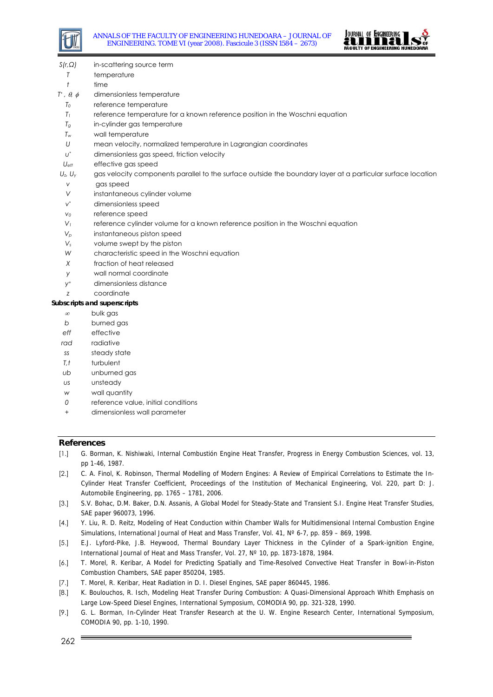



- *S(r,Ω)* in-scattering source term
- *T* temperature
- *t* time
- *T*<sup>\*</sup>, θ, φ dimensionless temperature
- *T0* reference temperature
- *T1* reference temperature for a known reference position in the Woschni equation
- *Tg* in-cylinder gas temperature
- *Tw* wall temperature
- *U* mean velocity, normalized temperature in Lagrangian coordinates
- *u\** dimensionless gas speed, friction velocity
- *Ueff* effective gas speed
- *U<sub>z</sub>, U<sub>y</sub>* gas velocity components parallel to the surface outside the boundary layer at a particular surface location
- *v* gas speed
- *V* instantaneous cylinder volume
- *v\** dimensionless speed
- *v0* reference speed
- *V1* reference cylinder volume for a known reference position in the Woschni equation
- *Vp* instantaneous piston speed
- *Vs* volume swept by the piston
- *W* characteristic speed in the Woschni equation
- *X* fraction of heat released
- *y* wall normal coordinate
- *y+* dimensionless distance
- *z* coordinate

#### **Subscripts and superscripts**

- ∞bulk gas
- *b* burned gas
- *eff* effective
- *rad* radiative
- *ss* steady state
- *T,t* turbulent
- *ub* unburned gas
- *us* unsteady
- *w* wall quantity
- *0* reference value, initial conditions
- *+* dimensionless wall parameter

#### **References**

- <span id="page-17-0"></span>[1.] G. Borman, K. Nishiwaki, Internal Combustión Engine Heat Transfer, Progress in Energy Combustion Sciences, vol. 13, pp 1-46, 1987.
- <span id="page-17-2"></span>[2.] C. A. Finol, K. Robinson, Thermal Modelling of Modern Engines: A Review of Empirical Correlations to Estimate the In-Cylinder Heat Transfer Coefficient, Proceedings of the Institution of Mechanical Engineering, Vol. 220, part D: J. Automobile Engineering, pp. 1765 – 1781, 2006.
- <span id="page-17-5"></span>[3.] S.V. Bohac, D.M. Baker, D.N. Assanis, A Global Model for Steady-State and Transient S.I. Engine Heat Transfer Studies, SAE paper 960073, 1996.
- [4.] Y. Liu, R. D. Reitz, Modeling of Heat Conduction within Chamber Walls for Multidimensional Internal Combustion Engine Simulations, International Journal of Heat and Mass Transfer, Vol. 41, N° 6-7, pp. 859 - 869, 1998.
- <span id="page-17-4"></span>[5.] E.J. Lyford-Pike, J.B. Heywood, Thermal Boundary Layer Thickness in the Cylinder of a Spark-ignition Engine, International Journal of Heat and Mass Transfer, Vol. 27, Nº 10, pp. 1873-1878, 1984.
- <span id="page-17-1"></span>[6.] T. Morel, R. Keribar, A Model for Predicting Spatially and Time-Resolved Convective Heat Transfer in Bowl-in-Piston Combustion Chambers, SAE paper 850204, 1985.
- <span id="page-17-6"></span>[7.] T. Morel, R. Keribar, Heat Radiation in D. I. Diesel Engines, SAE paper 860445, 1986.
- [8.] K. Boulouchos, R. Isch, Modeling Heat Transfer During Combustion: A Quasi-Dimensional Approach Whith Emphasis on Large Low-Speed Diesel Engines, International Symposium, COMODIA 90, pp. 321-328, 1990.
- <span id="page-17-3"></span>[9.] G. L. Borman, In-Cylinder Heat Transfer Research at the U. W. Engine Research Center, International Symposium, COMODIA 90, pp. 1-10, 1990.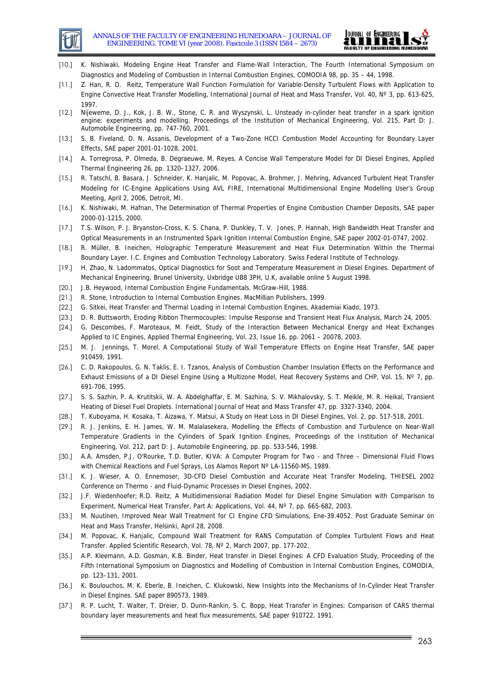



- [10.] K. Nishiwaki, Modeling Engine Heat Transfer and Flame-Wall Interaction, The Fourth International Symposium on Diagnostics and Modeling of Combustion in Internal Combustion Engines, COMODIA 98, pp. 35 – 44, 1998.
- <span id="page-18-1"></span>[11.] Z. Han, R. D. Reitz, Temperature Wall Function Formulation for Variable-Density Turbulent Flows with Application to Engine Convective Heat Transfer Modelling, International Journal of Heat and Mass Transfer, Vol. 40, N° 3, pp. 613-625, 1997.
- <span id="page-18-2"></span>[12.] Nijeweme, D. J., Kok, J. B. W., Stone, C. R. and Wyszynski, L. Unsteady in-cylinder heat transfer in a spark ignition engine: experiments and modelling. Proceedings of the Institution of Mechanical Engineering, Vol. 215, Part D: J. Automobile Engineering, pp. 747-760, 2001.
- <span id="page-18-4"></span>[13.] S. B. Fiveland, D. N. Assanis, Development of a Two-Zone HCCI Combustion Model Accounting for Boundary Layer Effects, SAE paper 2001-01-1028, 2001.
- <span id="page-18-5"></span>[14.] A. Torregrosa, P. Olmeda, B. Degraeuwe, M. Reyes, A Concise Wall Temperature Model for DI Diesel Engines, Applied Thermal Engineering 26, pp. 1320–1327, 2006.
- <span id="page-18-10"></span>[15.] R. Tatschl, B. Basara, J. Schneider, K. Hanjalic, M. Popovac, A. Brohmer, J. Mehring, Advanced Turbulent Heat Transfer Modeling for IC-Engine Applications Using AVL FIRE, International Multidimensional Engine Modelling User's Group Meeting, April 2, 2006, Detroit, MI.
- [16.] K. Nishiwaki, M. Hafnan, The Determination of Thermal Properties of Engine Combustion Chamber Deposits, SAE paper 2000-01-1215, 2000.
- [17.] T.S. Wilson, P. J. Bryanston-Cross, K. S. Chana, P. Dunkley, T. V. Jones, P. Hannah, High Bandwidth Heat Transfer and Optical Measurements in an Instrumented Spark Ignition Internal Combustion Engine, SAE paper 2002-01-0747, 2002.
- [18.] R. Müller, B. Ineichen, Holographic Temperature Measurement and Heat Flux Determination Within the Thermal Boundary Layer. I.C. Engines and Combustion Technology Laboratory. Swiss Federal Institute of Technology.
- <span id="page-18-0"></span>[19.] H. Zhao, N. Ladommatos, Optical Diagnostics for Soot and Temperature Measurement in Diesel Engines. Department of Mechanical Engineering, Brunel University, Uxbridge UB8 3PH, U.K, available online 5 August 1998.
- [20.] J.B. Heywood, Internal Combustion Engine Fundamentals. McGraw-Hill, 1988.
- <span id="page-18-3"></span>[21.] R. Stone, Introduction to Internal Combustion Engines. MacMillian Publishers, 1999.
- [22.] G. Sitkei, Heat Transfer and Thermal Loading in Internal Combustion Engines, Akademiai Kiado, 1973.
- <span id="page-18-13"></span>[23.] D. R. Buttsworth, Eroding Ribbon Thermocouples: Impulse Response and Transient Heat Flux Analysis, March 24, 2005.
- [24.] G. Descombes, F. Maroteaux, M. Feidt, Study of the Interaction Between Mechanical Energy and Heat Exchanges Applied to IC Engines, Applied Thermal Engineering, Vol. 23, Issue 16, pp. 2061 – 20078, 2003.
- <span id="page-18-9"></span>[25.] M. J. Jennings, T. Morel, A Computational Study of Wall Temperature Effects on Engine Heat Transfer, SAE paper 910459, 1991.
- [26.] C. D. Rakopoulos, G. N. Taklis, E. I. Tzanos, Analysis of Combustion Chamber Insulation Effects on the Performance and Exhaust Emissions of a DI Diesel Engine Using a Multizone Model, Heat Recovery Systems and CHP, Vol. 15, Nº 7, pp. 691-706, 1995.
- <span id="page-18-14"></span>[27.] S. S. Sazhin, P. A. Krutitskii, W. A. Abdelghaffar, E. M. Sazhina, S. V. Mikhalovsky, S. T. Meikle, M. R. Heikal, Transient Heating of Diesel Fuel Droplets. International Journal of Heat and Mass Transfer 47, pp. 3327-3340, 2004.
- <span id="page-18-6"></span>[28.] T. Kuboyama, H. Kosaka, T. Aizawa, Y. Matsui, A Study on Heat Loss in DI Diesel Engines, Vol. 2, pp. 517-518, 2001.
- [29.] R. J. Jenkins, E. H. James, W. M. Malalasekera, Modelling the Effects of Combustion and Turbulence on Near-Wall Temperature Gradients in the Cylinders of Spark Ignition Engines, Proceedings of the Institution of Mechanical Engineering, Vol. 212, part D: J. Automobile Engineering, pp. pp. 533-546, 1998.
- <span id="page-18-7"></span>[30.] A.A. Amsden, P.J. O'Rourke, T.D. Butler, KIVA: A Computer Program for Two - and Three – Dimensional Fluid Flows with Chemical Reactions and Fuel Sprays, Los Alamos Report N° LA-11560-MS, 1989.
- [31.] K. J. Wieser, A. O. Ennemoser, 3D-CFD Diesel Combustion and Accurate Heat Transfer Modeling, THIESEL 2002 Conference on Thermo - and Fluid-Dynamic Processes in Diesel Engines, 2002.
- <span id="page-18-15"></span>[32.] J.F. Wiedenhoefer; R.D. Reitz, A Multidimensional Radiation Model for Diesel Engine Simulation with Comparison to Experiment, Numerical Heat Transfer, Part A: Applications, Vol. 44, Nº 7, pp. 665-682, 2003.
- <span id="page-18-8"></span>[33.] M. Nuutinen, Improved Near Wall Treatment for CI Engine CFD Simulations, Ene-39,4052, Post Graduate Seminar on Heat and Mass Transfer, Helsinki, April 28, 2008.
- <span id="page-18-12"></span>[34.] M. Popovac, K. Hanjalic, Compound Wall Treatment for RANS Computation of Complex Turbulent Flows and Heat Transfer. Applied Scientific Research, Vol. 78, Nº 2, March 2007, pp. 177-202.
- <span id="page-18-11"></span>[35.] A.P. Kleemann, A.D. Gosman, K.B. Binder, Heat transfer in Diesel Engines: A CFD Evaluation Study, Proceeding of the Fifth International Symposium on Diagnostics and Modelling of Combustion in Internal Combustion Engines, COMODIA, pp. 123–131, 2001.
- [36.] K. Boulouchos, M. K. Eberle, B. Ineichen, C. Klukowski, New Insights into the Mechanisms of In-Cylinder Heat Transfer in Diesel Engines. SAE paper 890573, 1989.
- [37.] R. P. Lucht, T. Walter, T. Dreier, D. Dunn-Rankin, S. C. Bopp, Heat Transfer in Engines: Comparison of CARS thermal boundary layer measurements and heat flux measurements, SAE paper 910722, 1991.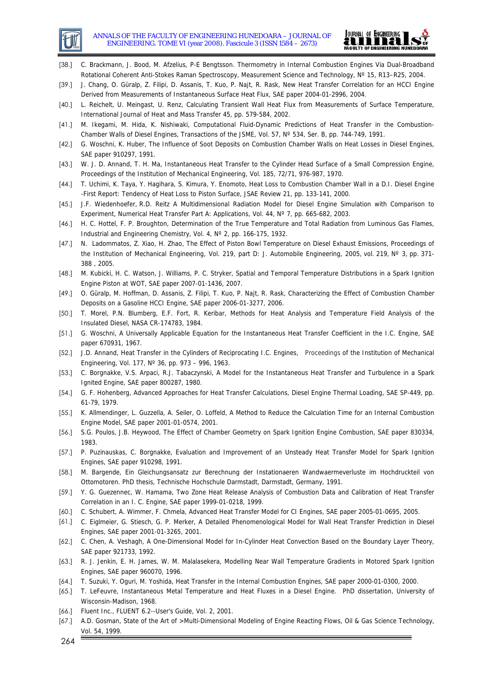



- [38.] C. Brackmann, J. Bood, M. Afzelius, P-E Bengtsson. Thermometry in Internal Combustion Engines Via Dual-Broadband Rotational Coherent Anti-Stokes Raman Spectroscopy, Measurement Science and Technology, Nº 15, R13–R25, 2004.
- [39.] J. Chang, O. Güralp, Z. Filipi, D. Assanis, T. Kuo, P. Najt, R. Rask, New Heat Transfer Correlation for an HCCI Engine Derived from Measurements of Instantaneous Surface Heat Flux, SAE paper 2004-01-2996, 2004.
- [40.] L. Reichelt, U. Meingast, U. Renz, Calculating Transient Wall Heat Flux from Measurements of Surface Temperature, International Journal of Heat and Mass Transfer 45, pp. 579-584, 2002.
- [41.] M. Ikegami, M. Hida, K. Nishiwaki, Computational Fluid-Dynamic Predictions of Heat Transfer in the Combustion-Chamber Walls of Diesel Engines, Transactions of the JSME, Vol. 57, Nº 534, Ser. B, pp. 744-749, 1991.
- <span id="page-19-17"></span>[42.] G. Woschni, K. Huber, The Influence of Soot Deposits on Combustion Chamber Walls on Heat Losses in Diesel Engines, SAE paper 910297, 1991.
- [43.] W. J. D. Annand, T. H. Ma, Instantaneous Heat Transfer to the Cylinder Head Surface of a Small Compression Engine, Proceedings of the Institution of Mechanical Engineering, Vol. 185, 72/71, 976-987, 1970.
- [44.] T. Uchimi, K. Taya, Y. Hagihara, S. Kimura, Y. Enomoto, Heat Loss to Combustion Chamber Wall in a D.I. Diesel Engine -First Report: Tendency of Heat Loss to Piston Surface, JSAE Review 21, pp. 133-141, 2000.
- <span id="page-19-18"></span>[45.] J.F. Wiedenhoefer, R.D. Reitz A Multidimensional Radiation Model for Diesel Engine Simulation with Comparison to Experiment, Numerical Heat Transfer Part A: Applications, Vol. 44, Nº 7, pp. 665-682, 2003.
- [46.] H. C. Hottel, F. P. Broughton, Determination of the True Temperature and Total Radiation from Luminous Gas Flames, Industrial and Engineering Chemistry, Vol. 4, Nº 2, pp. 166-175, 1932.
- [47.] N. Ladommatos, Z. Xiao, H. Zhao, The Effect of Piston Bowl Temperature on Diesel Exhaust Emissions, Proceedings of the Institution of Mechanical Engineering, Vol. 219, part D: J. Automobile Engineering, 2005, vol. 219, N° 3, pp. 371-388 , 2005.
- <span id="page-19-11"></span>[48.] M. Kubicki, H. C. Watson, J. Williams, P. C. Stryker, Spatial and Temporal Temperature Distributions in a Spark Ignition Engine Piston at WOT, SAE paper 2007-01-1436, 2007.
- [49.] O. Güralp, M. Hoffman, D. Assanis, Z. Filipi, T. Kuo, P. Najt, R. Rask, Characterizing the Effect of Combustion Chamber Deposits on a Gasoline HCCI Engine, SAE paper 2006-01-3277, 2006.
- [50.] T. Morel, P.N. Blumberg, E.F. Fort, R. Keribar, Methods for Heat Analysis and Temperature Field Analysis of the Insulated Diesel, NASA CR-174783, 1984.
- <span id="page-19-0"></span>[51.] G. Woschni, A Universally Applicable Equation for the Instantaneous Heat Transfer Coefficient in the I.C. Engine, SAE paper 670931, 1967.
- [52.] J.D. Annand, Heat Transfer in the Cylinders of Reciprocating I.C. Engines, Proceedings of the Institution of Mechanical Engineering, Vol. 177, Nº 36, pp. 973 – 996, 1963.
- <span id="page-19-8"></span>[53.] C. Borgnakke, V.S. Arpaci, R.J. Tabaczynski, A Model for the Instantaneous Heat Transfer and Turbulence in a Spark Ignited Engine, SAE paper 800287, 1980.
- <span id="page-19-1"></span>[54.] G. F. Hohenberg, Advanced Approaches for Heat Transfer Calculations, Diesel Engine Thermal Loading, SAE SP-449, pp. 61-79, 1979.
- <span id="page-19-4"></span>[55.] K. Allmendinger, L. Guzzella, A. Seiler, O. Loffeld, A Method to Reduce the Calculation Time for an Internal Combustion Engine Model, SAE paper 2001-01-0574, 2001.
- <span id="page-19-5"></span>[56.] S.G. Poulos, J.B. Heywood, The Effect of Chamber Geometry on Spark Ignition Engine Combustion, SAE paper 830334, 1983.
- <span id="page-19-10"></span>[57.] P. Puzinauskas, C. Borgnakke, Evaluation and Improvement of an Unsteady Heat Transfer Model for Spark Ignition Engines, SAE paper 910298, 1991.
- <span id="page-19-6"></span>[58.] M. Bargende, Ein Gleichungsansatz zur Berechnung der Instationaeren Wandwaermeverluste im Hochdruckteil von Ottomotoren. PhD thesis, Technische Hochschule Darmstadt, Darmstadt, Germany, 1991.
- <span id="page-19-3"></span>[59.] Y. G. Guezennec, W. Hamama, Two Zone Heat Release Analysis of Combustion Data and Calibration of Heat Transfer Correlation in an I. C. Engine, SAE paper 1999-01-0218, 1999.
- <span id="page-19-2"></span>[60.] C. Schubert, A. Wimmer, F. Chmela, Advanced Heat Transfer Model for CI Engines, SAE paper 2005-01-0695, 2005.
- <span id="page-19-7"></span>[61.] C. Eiglmeier, G. Stiesch, G. P. Merker, A Detailed Phenomenological Model for Wall Heat Transfer Prediction in Diesel Engines, SAE paper 2001-01-3265, 2001.
- <span id="page-19-9"></span>[62.] C. Chen, A. Veshagh, A One-Dimensional Model for In-Cylinder Heat Convection Based on the Boundary Layer Theory, SAE paper 921733, 1992.
- <span id="page-19-12"></span>[63.] R. J. Jenkin, E. H. James, W. M. Malalasekera, Modelling Near Wall Temperature Gradients in Motored Spark Ignition Engines, SAE paper 960070, 1996.
- <span id="page-19-13"></span>[64.] T. Suzuki, Y. Oguri, M. Yoshida, Heat Transfer in the Internal Combustion Engines, SAE paper 2000-01-0300, 2000.
- <span id="page-19-14"></span>[65.] T. LeFeuvre, Instantaneous Metal Temperature and Heat Fluxes in a Diesel Engine. PhD dissertation, University of Wisconsin-Madison, 1968.
- <span id="page-19-15"></span>[66.] Fluent Inc., FLUENT 6.2--User's Guide, Vol. 2, 2001.
- <span id="page-19-16"></span>[67.] A.D. Gosman, State of the Art of >Multi-Dimensional Modeling of Engine Reacting Flows, Oil & Gas Science Technology, Vol. 54, 1999.